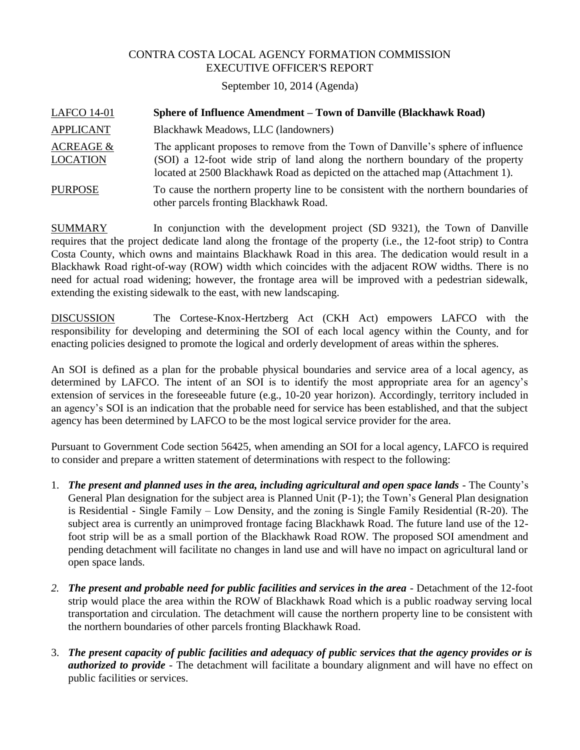## CONTRA COSTA LOCAL AGENCY FORMATION COMMISSION EXECUTIVE OFFICER'S REPORT

September 10, 2014 (Agenda)

| <b>LAFCO 14-01</b>                      | Sphere of Influence Amendment – Town of Danville (Blackhawk Road)                                                                                                                                                                                    |
|-----------------------------------------|------------------------------------------------------------------------------------------------------------------------------------------------------------------------------------------------------------------------------------------------------|
| <b>APPLICANT</b>                        | Blackhawk Meadows, LLC (landowners)                                                                                                                                                                                                                  |
| <b>ACREAGE &amp;</b><br><b>LOCATION</b> | The applicant proposes to remove from the Town of Danville's sphere of influence<br>(SOI) a 12-foot wide strip of land along the northern boundary of the property<br>located at 2500 Blackhawk Road as depicted on the attached map (Attachment 1). |
| <b>PURPOSE</b>                          | To cause the northern property line to be consistent with the northern boundaries of<br>other parcels fronting Blackhawk Road.                                                                                                                       |

SUMMARY In conjunction with the development project (SD 9321), the Town of Danville requires that the project dedicate land along the frontage of the property (i.e., the 12-foot strip) to Contra Costa County, which owns and maintains Blackhawk Road in this area. The dedication would result in a Blackhawk Road right-of-way (ROW) width which coincides with the adjacent ROW widths. There is no need for actual road widening; however, the frontage area will be improved with a pedestrian sidewalk, extending the existing sidewalk to the east, with new landscaping.

DISCUSSION The Cortese-Knox-Hertzberg Act (CKH Act) empowers LAFCO with the responsibility for developing and determining the SOI of each local agency within the County, and for enacting policies designed to promote the logical and orderly development of areas within the spheres.

An SOI is defined as a plan for the probable physical boundaries and service area of a local agency, as determined by LAFCO. The intent of an SOI is to identify the most appropriate area for an agency's extension of services in the foreseeable future (e.g., 10-20 year horizon). Accordingly, territory included in an agency's SOI is an indication that the probable need for service has been established, and that the subject agency has been determined by LAFCO to be the most logical service provider for the area.

Pursuant to Government Code section 56425, when amending an SOI for a local agency, LAFCO is required to consider and prepare a written statement of determinations with respect to the following:

- 1. *The present and planned uses in the area, including agricultural and open space lands -* The County's General Plan designation for the subject area is Planned Unit (P-1); the Town's General Plan designation is Residential - Single Family – Low Density, and the zoning is Single Family Residential (R-20). The subject area is currently an unimproved frontage facing Blackhawk Road. The future land use of the 12 foot strip will be as a small portion of the Blackhawk Road ROW. The proposed SOI amendment and pending detachment will facilitate no changes in land use and will have no impact on agricultural land or open space lands.
- *2. The present and probable need for public facilities and services in the area -* Detachment of the 12-foot strip would place the area within the ROW of Blackhawk Road which is a public roadway serving local transportation and circulation. The detachment will cause the northern property line to be consistent with the northern boundaries of other parcels fronting Blackhawk Road.
- 3. *The present capacity of public facilities and adequacy of public services that the agency provides or is authorized to provide -* The detachment will facilitate a boundary alignment and will have no effect on public facilities or services.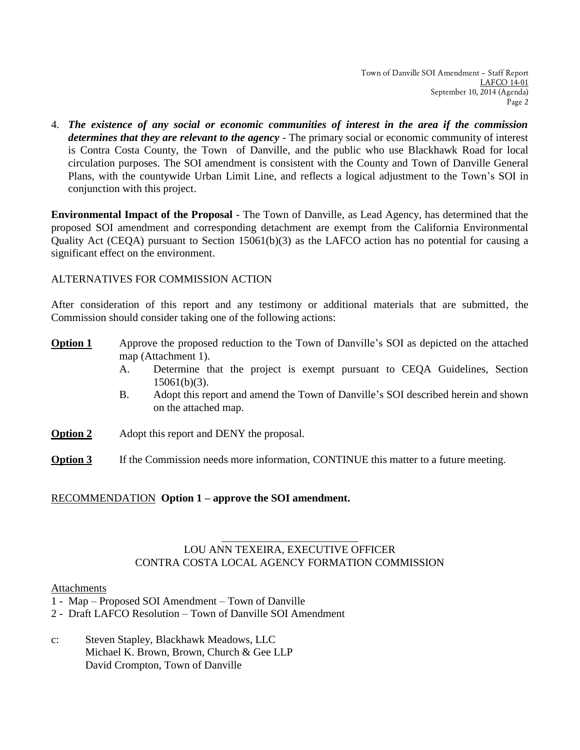4. *The existence of any social or economic communities of interest in the area if the commission determines that they are relevant to the agency -* The primary social or economic community of interest is Contra Costa County, the Town of Danville, and the public who use Blackhawk Road for local circulation purposes. The SOI amendment is consistent with the County and Town of Danville General Plans, with the countywide Urban Limit Line, and reflects a logical adjustment to the Town's SOI in conjunction with this project.

**Environmental Impact of the Proposal** - The Town of Danville, as Lead Agency, has determined that the proposed SOI amendment and corresponding detachment are exempt from the California Environmental Quality Act (CEQA) pursuant to Section 15061(b)(3) as the LAFCO action has no potential for causing a significant effect on the environment.

## ALTERNATIVES FOR COMMISSION ACTION

After consideration of this report and any testimony or additional materials that are submitted, the Commission should consider taking one of the following actions:

- **Option 1** Approve the proposed reduction to the Town of Danville's SOI as depicted on the attached map (Attachment 1).
	- A. Determine that the project is exempt pursuant to CEQA Guidelines, Section 15061(b)(3).
	- B. Adopt this report and amend the Town of Danville's SOI described herein and shown on the attached map.
- **Option 2** Adopt this report and DENY the proposal.
- **Option 3** If the Commission needs more information, CONTINUE this matter to a future meeting.

## RECOMMENDATION **Option 1 – approve the SOI amendment.**

# LOU ANN TEXEIRA, EXECUTIVE OFFICER CONTRA COSTA LOCAL AGENCY FORMATION COMMISSION

#### Attachments

- 1 Map Proposed SOI Amendment Town of Danville
- 2 Draft LAFCO Resolution Town of Danville SOI Amendment
- c: Steven Stapley, Blackhawk Meadows, LLC Michael K. Brown, Brown, Church & Gee LLP David Crompton, Town of Danville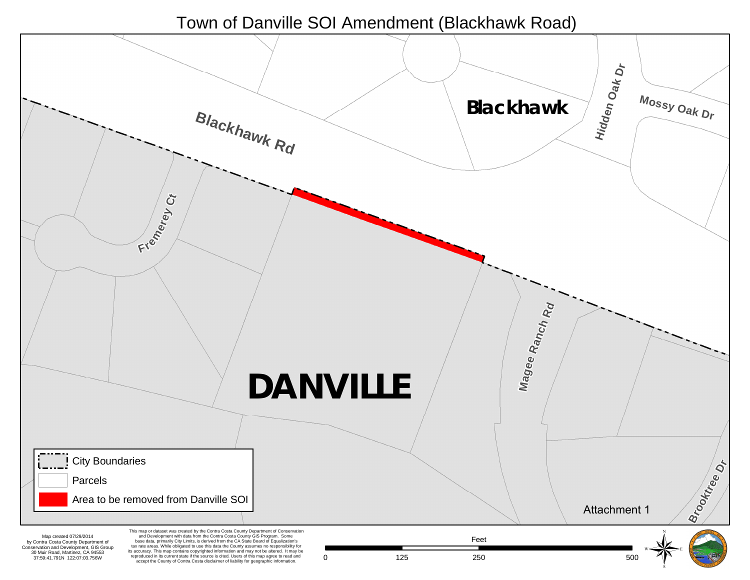# Town of Danville SOI Amendment (Blackhawk Road)

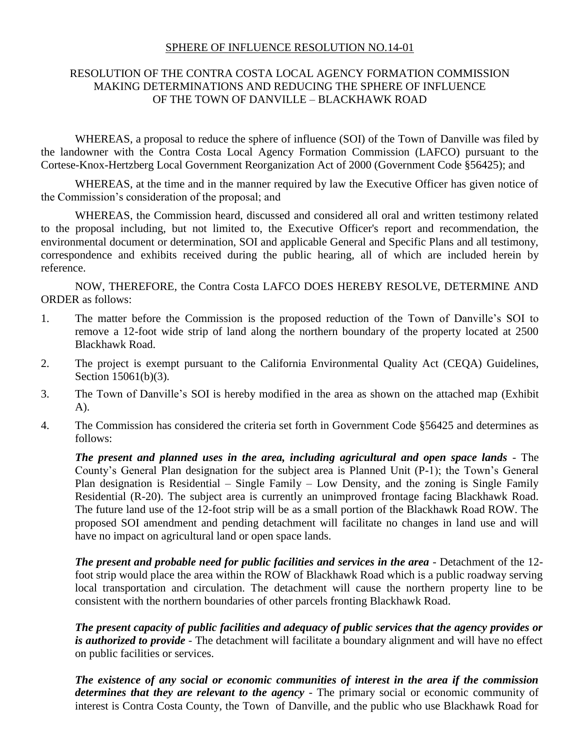#### SPHERE OF INFLUENCE RESOLUTION NO.14-01

## RESOLUTION OF THE CONTRA COSTA LOCAL AGENCY FORMATION COMMISSION MAKING DETERMINATIONS AND REDUCING THE SPHERE OF INFLUENCE OF THE TOWN OF DANVILLE – BLACKHAWK ROAD

WHEREAS, a proposal to reduce the sphere of influence (SOI) of the Town of Danville was filed by the landowner with the Contra Costa Local Agency Formation Commission (LAFCO) pursuant to the Cortese-Knox-Hertzberg Local Government Reorganization Act of 2000 (Government Code §56425); and

WHEREAS, at the time and in the manner required by law the Executive Officer has given notice of the Commission's consideration of the proposal; and

WHEREAS, the Commission heard, discussed and considered all oral and written testimony related to the proposal including, but not limited to, the Executive Officer's report and recommendation, the environmental document or determination, SOI and applicable General and Specific Plans and all testimony, correspondence and exhibits received during the public hearing, all of which are included herein by reference.

NOW, THEREFORE, the Contra Costa LAFCO DOES HEREBY RESOLVE, DETERMINE AND ORDER as follows:

- 1. The matter before the Commission is the proposed reduction of the Town of Danville's SOI to remove a 12-foot wide strip of land along the northern boundary of the property located at 2500 Blackhawk Road.
- 2. The project is exempt pursuant to the California Environmental Quality Act (CEQA) Guidelines, Section 15061(b)(3).
- 3. The Town of Danville's SOI is hereby modified in the area as shown on the attached map (Exhibit A).
- 4. The Commission has considered the criteria set forth in Government Code §56425 and determines as follows:

*The present and planned uses in the area, including agricultural and open space lands -* The County's General Plan designation for the subject area is Planned Unit (P-1); the Town's General Plan designation is Residential – Single Family – Low Density, and the zoning is Single Family Residential (R-20). The subject area is currently an unimproved frontage facing Blackhawk Road. The future land use of the 12-foot strip will be as a small portion of the Blackhawk Road ROW. The proposed SOI amendment and pending detachment will facilitate no changes in land use and will have no impact on agricultural land or open space lands.

*The present and probable need for public facilities and services in the area -* Detachment of the 12 foot strip would place the area within the ROW of Blackhawk Road which is a public roadway serving local transportation and circulation. The detachment will cause the northern property line to be consistent with the northern boundaries of other parcels fronting Blackhawk Road.

*The present capacity of public facilities and adequacy of public services that the agency provides or is authorized to provide* - The detachment will facilitate a boundary alignment and will have no effect on public facilities or services.

*The existence of any social or economic communities of interest in the area if the commission determines that they are relevant to the agency -* The primary social or economic community of interest is Contra Costa County, the Town of Danville, and the public who use Blackhawk Road for